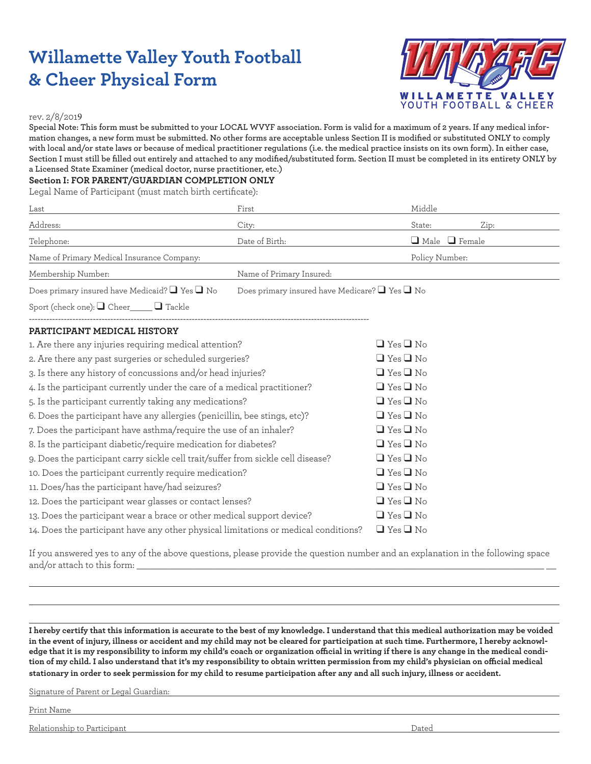# **Willamette Valley Youth Football & Cheer Physical Form**



#### rev. 2/8/2019

**Special Note: This form must be submitted to your LOCAL WVYF association. Form is valid for a maximum of 2 years. If any medical information changes, a new form must be submitted. No other forms are acceptable unless Section II is modified or substituted ONLY to comply with local and/or state laws or because of medical practitioner regulations (i.e. the medical practice insists on its own form). In either case, Section I must still be filled out entirely and attached to any modified/substituted form. Section II must be completed in its entirety ONLY by a Licensed State Examiner (medical doctor, nurse practitioner, etc.)** 

#### **Section I: FOR PARENT/GUARDIAN COMPLETION ONLY**

Legal Name of Participant (must match birth certificate):

| Last                                                                                | First                                                    | Middle                    |      |
|-------------------------------------------------------------------------------------|----------------------------------------------------------|---------------------------|------|
| Address:                                                                            | City:                                                    | State:                    | Zip: |
| Telephone:                                                                          | Date of Birth:                                           | $\Box$ Male $\Box$ Female |      |
| Name of Primary Medical Insurance Company:                                          |                                                          | Policy Number:            |      |
| Membership Number:                                                                  | Name of Primary Insured:                                 |                           |      |
| Does primary insured have Medicaid? $\Box$ Yes $\Box$ No                            | Does primary insured have Medicare? $\Box$ Yes $\Box$ No |                           |      |
| Sport (check one): $\Box$ Cheer $\Box$ Tackle                                       |                                                          |                           |      |
| PARTICIPANT MEDICAL HISTORY                                                         |                                                          |                           |      |
| 1. Are there any injuries requiring medical attention?                              |                                                          | $\Box$ Yes $\Box$ No      |      |
| 2. Are there any past surgeries or scheduled surgeries?                             |                                                          | $\Box$ Yes $\Box$ No      |      |
| 3. Is there any history of concussions and/or head injuries?                        |                                                          | $\Box$ Yes $\Box$ No      |      |
| 4. Is the participant currently under the care of a medical practitioner?           |                                                          | $\Box$ Yes $\Box$ No      |      |
| 5. Is the participant currently taking any medications?                             |                                                          | $\Box$ Yes $\Box$ No      |      |
| 6. Does the participant have any allergies (penicillin, bee stings, etc)?           |                                                          | $\Box$ Yes $\Box$ No      |      |
| 7. Does the participant have asthma/require the use of an inhaler?                  |                                                          | $\Box$ Yes $\Box$ No      |      |
| 8. Is the participant diabetic/require medication for diabetes?                     |                                                          | $\Box$ Yes $\Box$ No      |      |
| 9. Does the participant carry sickle cell trait/suffer from sickle cell disease?    |                                                          | $\Box$ Yes $\Box$ No      |      |
| 10. Does the participant currently require medication?                              |                                                          | $\Box$ Yes $\Box$ No      |      |
| 11. Does/has the participant have/had seizures?                                     |                                                          | $\Box$ Yes $\Box$ No      |      |
| 12. Does the participant wear glasses or contact lenses?                            |                                                          | $\Box$ Yes $\Box$ No      |      |
| 13. Does the participant wear a brace or other medical support device?              |                                                          | $\Box$ Yes $\Box$ No      |      |
| 14. Does the participant have any other physical limitations or medical conditions? |                                                          | $\Box$ Yes $\Box$ No      |      |

If you answered yes to any of the above questions, please provide the question number and an explanation in the following space and/or attach to this form:

**I hereby certify that this information is accurate to the best of my knowledge. I understand that this medical authorization may be voided in the event of injury, illness or accident and my child may not be cleared for participation at such time. Furthermore, I hereby acknowledge that it is my responsibility to inform my child's coach or organization official in writing if there is any change in the medical condition of my child. I also understand that it's my responsibility to obtain written permission from my child's physician on official medical stationary in order to seek permission for my child to resume participation after any and all such injury, illness or accident.** 

Signature of Parent or Legal Guardian:

Print Name

Relationship to Participant Dated